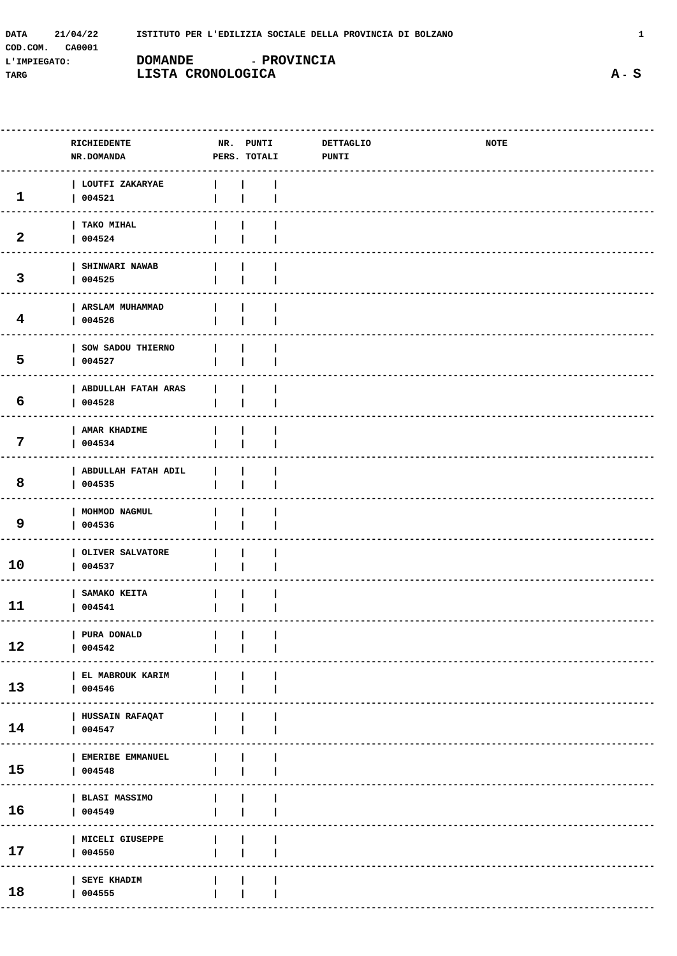| 21/04/22<br>DATA          |                    | ISTITUTO PER L'EDILIZIA SOCIALE DELLA PROVINCIA DI BOLZANO |
|---------------------------|--------------------|------------------------------------------------------------|
| CA0001<br>COD.COM.        |                    |                                                            |
| DOMANDE<br>L'IMPIEGATO:   | <b>- PROVINCIA</b> |                                                            |
| LISTA CRONOLOGICA<br>TARG |                    |                                                            |

|                         | RICHIEDENTE<br>NR.DOMANDA        | NR. PUNTI<br>PERS. TOTALI | <b>DETTAGLIO</b><br><b>PUNTI</b> | <b>NOTE</b> |  |
|-------------------------|----------------------------------|---------------------------|----------------------------------|-------------|--|
| $\mathbf{1}$            | LOUTFI ZAKARYAE<br>004521        |                           |                                  |             |  |
| $\overline{2}$          | TAKO MIHAL<br>004524             |                           |                                  |             |  |
| 3                       | SHINWARI NAWAB<br>004525         |                           |                                  |             |  |
| $\overline{\mathbf{4}}$ | <b>ARSLAM MUHAMMAD</b><br>004526 |                           |                                  |             |  |
| 5                       | SOW SADOU THIERNO<br>004527      |                           |                                  |             |  |
| 6                       | ABDULLAH FATAH ARAS<br>004528    |                           |                                  |             |  |
| 7                       | AMAR KHADIME<br>004534           |                           |                                  |             |  |
| 8                       | ABDULLAH FATAH ADIL<br>004535    |                           |                                  |             |  |
| 9                       | MOHMOD NAGMUL<br>004536          |                           |                                  |             |  |
| 10                      | OLIVER SALVATORE<br>004537       |                           |                                  |             |  |
| 11                      | SAMAKO KEITA<br>004541           |                           |                                  |             |  |
| 12                      | PURA DONALD<br>004542            |                           |                                  |             |  |
| 13                      | EL MABROUK KARIM<br>004546       |                           |                                  |             |  |
| 14                      | HUSSAIN RAFAQAT<br>004547        |                           |                                  |             |  |
| 15                      | EMERIBE EMMANUEL<br>004548       |                           |                                  |             |  |
| 16                      | <b>BLASI MASSIMO</b><br>004549   |                           |                                  |             |  |
|                         | MICELI GIUSEPPE                  |                           |                                  |             |  |

 $17$ 

18

 $| 004550$ 

 $| 004555$ 

SEYE KHADIM

 $\overline{\phantom{a}}$ 

 $\mathbf{I}$ 

 $\mathbf{I}$ 

 $\overline{\phantom{a}}$ 

 $\overline{\phantom{a}}$ 

 $\overline{\phantom{a}}$ 

 $\overline{\phantom{a}}$ 

 $\overline{\phantom{a}}$ 

 $\mathbf 1$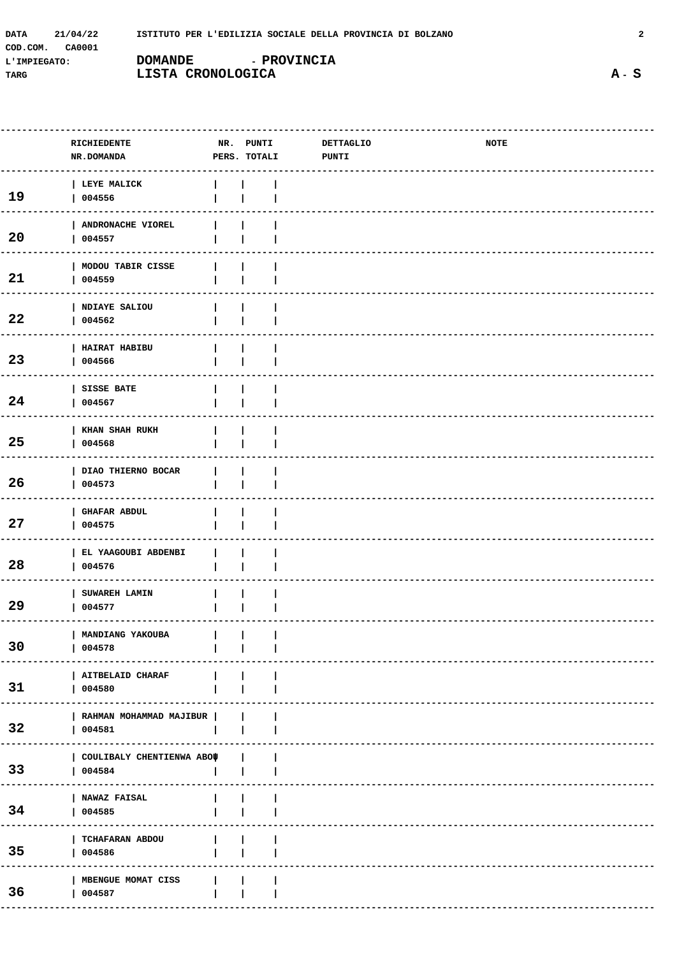| <b>DATA</b>  | 21/04/22 |                   |                    | ISTITUTO PER L'EDILIZIA SOCIALE DELLA PROVINCIA DI BOLZANO |  |
|--------------|----------|-------------------|--------------------|------------------------------------------------------------|--|
| COD.COM.     | CA0001   |                   |                    |                                                            |  |
| L'IMPIEGATO: |          | <b>DOMANDE</b>    | <b>- PROVINCIA</b> |                                                            |  |
| TARG         |          | LISTA CRONOLOGICA |                    |                                                            |  |

NR. PUNTI

RICHIEDENTE

|                 | NR.DOMANDA                                    | PERS. TOTALI | <b>PUNTI</b> |
|-----------------|-----------------------------------------------|--------------|--------------|
| 19              | LEYE MALICK<br>004556                         |              |              |
| 20              | ANDRONACHE VIOREL<br>004557                   |              |              |
| 21              | MODOU TABIR CISSE<br>004559                   |              |              |
| 22              | NDIAYE SALIOU<br>004562                       |              |              |
| 23              | HAIRAT HABIBU<br>004566                       |              |              |
| 24              | SISSE BATE<br>004567                          |              |              |
| 25              | KHAN SHAH RUKH<br>004568                      |              |              |
| 26              | DIAO THIERNO BOCAR<br>004573                  |              |              |
| 27              | <b>GHAFAR ABDUL</b><br>004575                 |              |              |
| 28              | EL YAAGOUBI ABDENBI<br>004576                 |              |              |
| 29              | SUWAREH LAMIN<br>004577                       |              |              |
| 30              | MANDIANG YAKOUBA<br>004578                    |              |              |
| 31              | <b>AITBELAID CHARAF</b><br>004580             |              |              |
| 32 <sub>2</sub> | RAHMAN MOHAMMAD MAJIBUR  <br>004581           |              |              |
| 33 <sup>3</sup> | COULIBALY CHENTIENWA ABOU<br>004584<br>------ |              |              |
| 34              | <b>NAWAZ FAISAL</b><br>004585                 |              |              |
| 35 <sub>2</sub> | TCHAFARAN ABDOU<br>004586                     |              |              |
| 36              | MBENGUE MOMAT CISS<br>004587                  |              |              |

NOTE

**DETTAGLIO** 

---------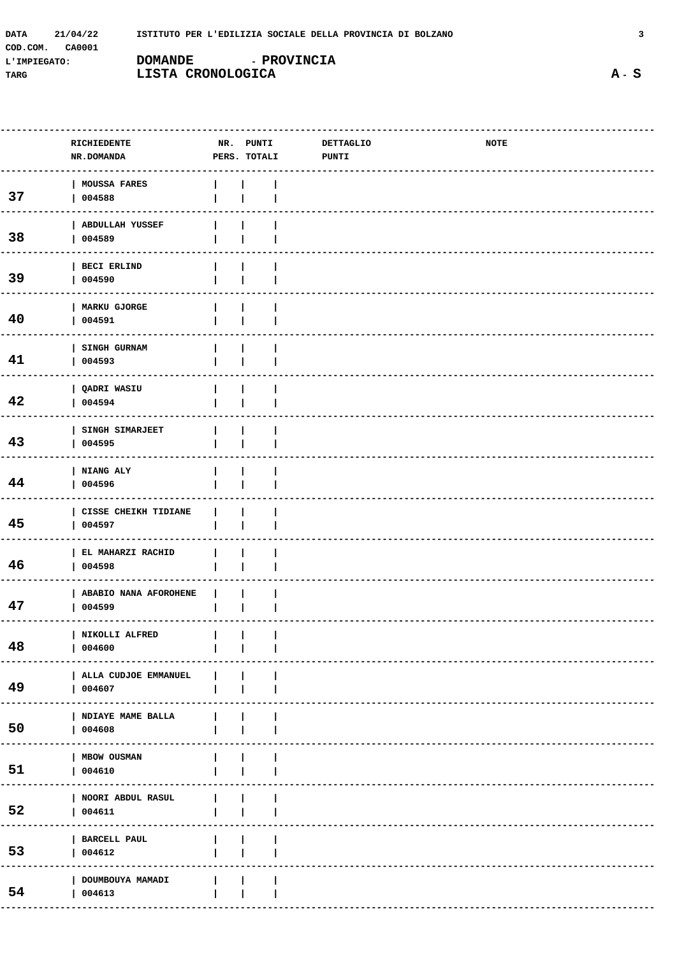| DATA<br>21/04/22   | ISTITUTO PER L'EDILIZIA SOCIALE DELLA PROVINCIA DI BOLZANO |                    |  |
|--------------------|------------------------------------------------------------|--------------------|--|
| COD.COM.<br>CA0001 |                                                            |                    |  |
| L'IMPIEGATO:       | <b>DOMANDE</b>                                             | <b>- PROVINCIA</b> |  |
| TARG               | LISTA CRONOLOGICA                                          |                    |  |

|    | RICHIEDENTE<br>NR.DOMANDA         | NR. PUNTI<br>PERS. TOTALI | <b>DETTAGLIO</b><br>PUNTI | <b>NOTE</b> |  |
|----|-----------------------------------|---------------------------|---------------------------|-------------|--|
| 37 | MOUSSA FARES<br>004588            |                           |                           |             |  |
| 38 | <b>ABDULLAH YUSSEF</b><br>004589  |                           |                           |             |  |
| 39 | BECI ERLIND<br>004590             |                           |                           |             |  |
| 40 | MARKU GJORGE<br>004591            |                           |                           |             |  |
| 41 | SINGH GURNAM<br>004593            |                           |                           |             |  |
| 42 | QADRI WASIU<br>004594             |                           |                           |             |  |
| 43 | SINGH SIMARJEET<br>004595         |                           |                           |             |  |
| 44 | NIANG ALY<br>004596               |                           |                           |             |  |
| 45 | CISSE CHEIKH TIDIANE<br>004597    |                           |                           |             |  |
| 46 | EL MAHARZI RACHID<br>004598       |                           |                           |             |  |
| 47 | ABABIO NANA AFOROHENE<br>  004599 |                           |                           |             |  |
| 48 | NIKOLLI ALFRED        <br>004600  |                           |                           |             |  |
| 49 | ALLA CUDJOE EMMANUEL<br>004607    |                           |                           |             |  |
| 50 | NDIAYE MAME BALLA<br>004608       |                           |                           |             |  |
| 51 | <b>MBOW OUSMAN</b><br>004610      |                           |                           |             |  |
| 52 | NOORI ABDUL RASUL<br>004611       |                           |                           |             |  |
| 53 | BARCELL PAUL<br>004612            |                           |                           |             |  |
| 54 | DOUMBOUYA MAMADI<br>004613        |                           |                           |             |  |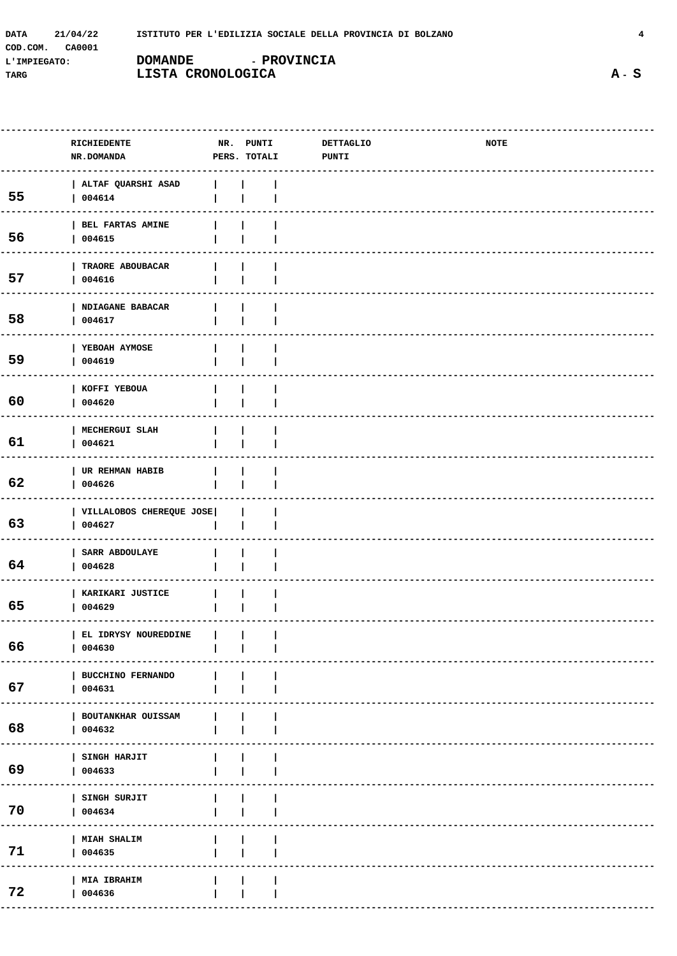| <b>DATA</b>  | 21/04/22 | ISTITUTO PER L'EDILIZIA SOCIALE DELLA PROVINCIA DI BOLZANO |                    |  |
|--------------|----------|------------------------------------------------------------|--------------------|--|
| COD.COM.     | CA0001   |                                                            |                    |  |
| L'IMPIEGATO: |          | <b>DOMANDE</b>                                             | <b>- PROVINCIA</b> |  |
| TARG         |          | LISTA CRONOLOGICA                                          |                    |  |

|    | RICHIEDENTE                        | NR. PUNTI    | DETTAGLIO    | NOTE |  |
|----|------------------------------------|--------------|--------------|------|--|
|    | NR.DOMANDA                         | PERS. TOTALI | <b>PUNTI</b> |      |  |
|    |                                    |              |              |      |  |
|    | ALTAF QUARSHI ASAD                 |              |              |      |  |
| 55 | 004614                             |              |              |      |  |
|    |                                    |              |              |      |  |
|    | BEL FARTAS AMINE                   |              |              |      |  |
| 56 | 004615                             |              |              |      |  |
|    |                                    |              |              |      |  |
|    | TRAORE ABOUBACAR                   |              |              |      |  |
| 57 | 004616                             |              |              |      |  |
|    |                                    |              |              |      |  |
|    | NDIAGANE BABACAR                   |              |              |      |  |
| 58 | 004617                             |              |              |      |  |
|    |                                    |              |              |      |  |
|    | YEBOAH AYMOSE                      |              |              |      |  |
| 59 | 004619                             |              |              |      |  |
|    |                                    |              |              |      |  |
|    | KOFFI YEBOUA                       |              |              |      |  |
| 60 | 004620                             |              |              |      |  |
|    |                                    |              |              |      |  |
|    | MECHERGUI SLAH                     |              |              |      |  |
| 61 | 004621                             |              |              |      |  |
|    |                                    |              |              |      |  |
|    | UR REHMAN HABIB                    |              |              |      |  |
| 62 | 004626                             |              |              |      |  |
|    |                                    |              |              |      |  |
| 63 | VILLALOBOS CHEREQUE JOSE<br>004627 |              |              |      |  |
|    |                                    |              |              |      |  |
|    | SARR ABDOULAYE                     |              |              |      |  |
| 64 | 004628                             |              |              |      |  |
|    |                                    |              |              |      |  |
|    | KARIKARI JUSTICE                   |              |              |      |  |
| 65 | 004629                             |              |              |      |  |
|    |                                    |              |              |      |  |
|    | EL IDRYSY NOUREDDINE               |              |              |      |  |
| 66 | 004630                             |              |              |      |  |
|    |                                    |              |              |      |  |
|    | <b>BUCCHINO FERNANDO</b>           |              |              |      |  |
| 67 | 004631                             |              |              |      |  |
|    |                                    |              |              |      |  |
|    | BOUTANKHAR OUISSAM                 |              |              |      |  |
| 68 | 004632                             |              |              |      |  |
|    | ---------                          |              |              |      |  |
|    | SINGH HARJIT                       |              |              |      |  |
| 69 | 004633                             |              |              |      |  |
|    |                                    |              |              |      |  |
|    | SINGH SURJIT                       |              |              |      |  |
| 70 | 004634                             |              |              |      |  |
|    |                                    |              |              |      |  |
| 71 | MIAH SHALIM                        |              |              |      |  |
|    | 004635                             |              |              |      |  |
|    |                                    |              |              |      |  |
| 72 | MIA IBRAHIM                        |              |              |      |  |
|    | 004636                             |              |              |      |  |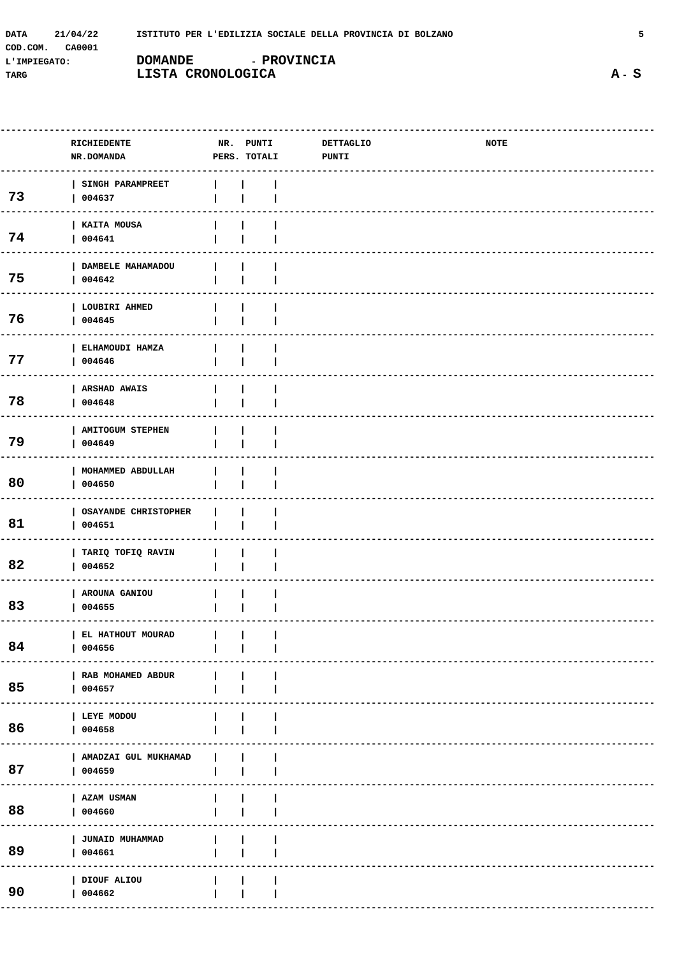| <b>DATA</b><br>21/04/22 | ISTITUTO PER L'EDILIZIA SOCIALE DELLA PROVINCIA DI BOLZANO |                    |  |
|-------------------------|------------------------------------------------------------|--------------------|--|
| COD.COM.<br>CA0001      |                                                            |                    |  |
| L'IMPIEGATO:            | <b>DOMANDE</b>                                             | <b>- PROVINCIA</b> |  |
| TARG                    | LISTA CRONOLOGICA                                          |                    |  |

|    | RICHIEDENTE<br>NR.DOMANDA                                                                                                                                                                             |              | NR. PUNTI<br>PERS. TOTALI | <b>DETTAGLIO</b><br><b>PUNTI</b> | NOTE |  |
|----|-------------------------------------------------------------------------------------------------------------------------------------------------------------------------------------------------------|--------------|---------------------------|----------------------------------|------|--|
| 73 | <b>SINGH PARAMPREET</b><br>004637                                                                                                                                                                     |              |                           |                                  |      |  |
| 74 | KAITA MOUSA<br>004641                                                                                                                                                                                 |              |                           |                                  |      |  |
| 75 | DAMBELE MAHAMADOU<br>004642                                                                                                                                                                           |              |                           |                                  |      |  |
| 76 | LOUBIRI AHMED<br>004645                                                                                                                                                                               |              |                           |                                  |      |  |
| 77 | ELHAMOUDI HAMZA<br>004646                                                                                                                                                                             |              |                           |                                  |      |  |
| 78 | <b>ARSHAD AWAIS</b><br>004648                                                                                                                                                                         |              |                           |                                  |      |  |
| 79 | <b>AMITOGUM STEPHEN</b><br>004649                                                                                                                                                                     |              |                           |                                  |      |  |
| 80 | MOHAMMED ABDULLAH<br>004650                                                                                                                                                                           |              |                           |                                  |      |  |
| 81 | <b>OSAYANDE CHRISTOPHER</b><br>004651                                                                                                                                                                 |              |                           |                                  |      |  |
| 82 | TARIQ TOFIQ RAVIN<br>004652                                                                                                                                                                           |              |                           |                                  |      |  |
| 83 | AROUNA GANIOU<br>004655                                                                                                                                                                               |              |                           |                                  |      |  |
| 84 | $\begin{array}{c c c c c c c} \hline \texttt{EL HATHOUT MOURAD} & & & \end{array} \begin{array}{c c c} & & \multicolumn{3}{c }{\quad} & \multicolumn{3}{c }{\quad} \\ \hline \end{array}$<br>  004656 |              |                           |                                  |      |  |
| 85 | RAB MOHAMED ABDUR<br>  004657                                                                                                                                                                         | $\mathbf{L}$ |                           |                                  |      |  |
| 86 | LEYE MODOU<br>  004658                                                                                                                                                                                |              |                           |                                  |      |  |
| 87 | AMADZAI GUL MUKHAMAD<br>  004659                                                                                                                                                                      | $\mathbf{L}$ |                           |                                  |      |  |
| 88 | AZAM USMAN<br>004660                                                                                                                                                                                  |              |                           |                                  |      |  |
| 89 | JUNAID MUHAMMAD<br>  004661                                                                                                                                                                           |              |                           |                                  |      |  |
| 90 | DIOUF ALIOU<br>004662                                                                                                                                                                                 |              |                           |                                  |      |  |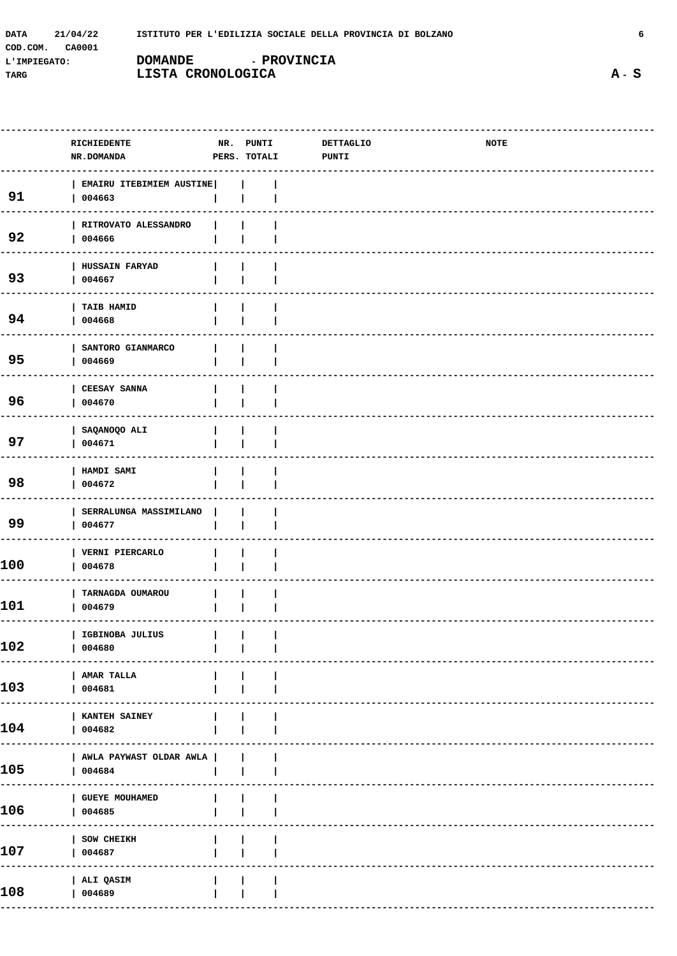| <b>DATA</b>  | 21/04/22 |                   | ISTITUTO PER L'EDILIZIA SOCIALE DELLA PROVINCIA DI BOLZANO |  |
|--------------|----------|-------------------|------------------------------------------------------------|--|
| COD.COM.     | CA0001   |                   |                                                            |  |
| L'IMPIEGATO: |          | <b>DOMANDE</b>    | <b>- PROVINCIA</b>                                         |  |
| TARG         |          | LISTA CRONOLOGICA |                                                            |  |

| RICHIEDENTE<br>NR.DOMANDA         |                                                     | PUNTI     |              | NOTE             |  |
|-----------------------------------|-----------------------------------------------------|-----------|--------------|------------------|--|
| 004663                            |                                                     |           |              |                  |  |
| RITROVATO ALESSANDRO<br>004666    |                                                     |           |              |                  |  |
| HUSSAIN FARYAD<br>004667          |                                                     |           |              |                  |  |
| TAIB HAMID<br>004668              |                                                     |           |              |                  |  |
| SANTORO GIANMARCO<br>004669       |                                                     |           |              |                  |  |
| <b>CEESAY SANNA</b><br>004670     |                                                     |           |              |                  |  |
| SAQANOQO ALI<br>004671            |                                                     |           |              |                  |  |
| HAMDI SAMI<br>004672              |                                                     |           |              |                  |  |
| SERRALUNGA MASSIMILANO<br>004677  |                                                     |           |              |                  |  |
| VERNI PIERCARLO<br>004678         |                                                     |           |              |                  |  |
| TARNAGDA OUMAROU<br>004679        |                                                     |           |              |                  |  |
| IGBINOBA JULIUS<br>004680         |                                                     |           |              |                  |  |
| <b>AMAR TALLA</b><br>  004681     |                                                     |           |              |                  |  |
| <b>KANTEH SAINEY</b><br>  004682  |                                                     |           |              |                  |  |
| 004684                            |                                                     |           |              |                  |  |
| <b>GUEYE MOUHAMED</b><br>  004685 |                                                     |           |              |                  |  |
| SOW CHEIKH<br>004687              |                                                     |           |              |                  |  |
| ALI QASIM<br>004689               |                                                     |           |              |                  |  |
|                                   | EMAIRU ITEBIMIEM AUSTINE<br>AWLA PAYWAST OLDAR AWLA | NR. PUNTI | PERS. TOTALI | <b>DETTAGLIO</b> |  |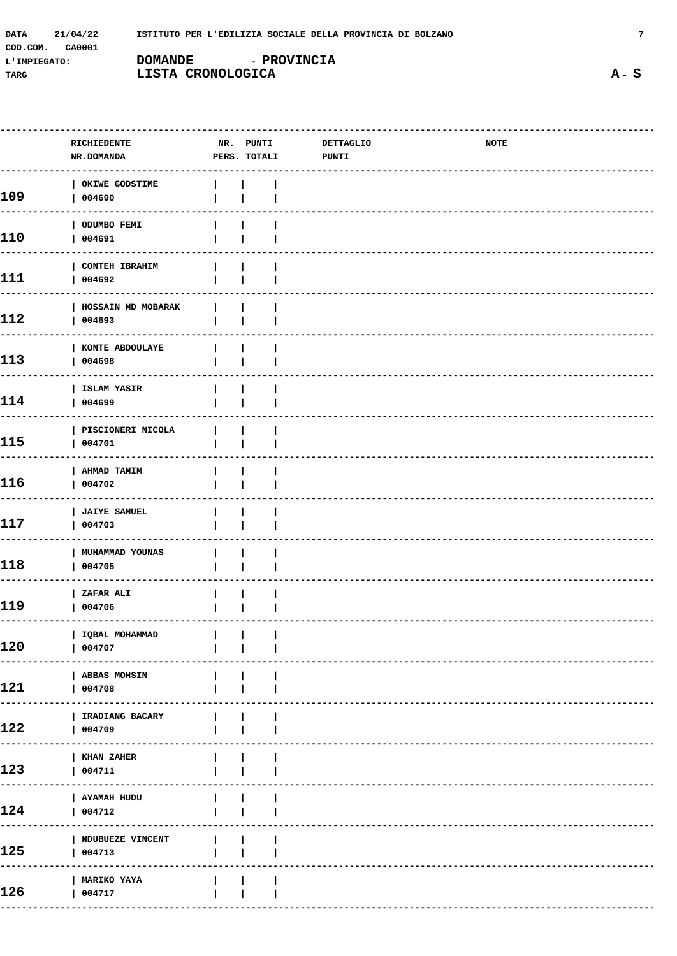| <b>DATA</b>  | 21/04/22 |                   | ISTITUTO PER L'EDILIZIA SOCIALE DELLA PROVINCIA DI BOLZANO |  |
|--------------|----------|-------------------|------------------------------------------------------------|--|
| COD.COM.     | CA0001   |                   |                                                            |  |
| L'IMPIEGATO: |          | <b>DOMANDE</b>    | <b>- PROVINCIA</b>                                         |  |
| TARG         |          | LISTA CRONOLOGICA |                                                            |  |

|     | RICHIEDENTE<br><b>NR.DOMANDA</b>    | PERS. TOTALI | NR. PUNTI DETTAGLIO<br><b>PUNTI</b> | NOTE |  |
|-----|-------------------------------------|--------------|-------------------------------------|------|--|
| 109 | OKIWE GODSTIME<br>  004690          |              |                                     |      |  |
| 110 | ODUMBO FEMI<br>004691               |              |                                     |      |  |
| 111 | <b>CONTEH IBRAHIM</b><br>004692     |              |                                     |      |  |
| 112 | <b>HOSSAIN MD MOBARAK</b><br>004693 |              |                                     |      |  |
| 113 | KONTE ABDOULAYE<br>004698           |              |                                     |      |  |
| 114 | ISLAM YASIR<br>004699               |              |                                     |      |  |
| 115 | PISCIONERI NICOLA<br>004701         |              |                                     |      |  |
| 116 | <b>AHMAD TAMIM</b><br>004702        |              |                                     |      |  |
| 117 | <b>JAIYE SAMUEL</b><br>004703       |              |                                     |      |  |
| 118 | MUHAMMAD YOUNAS<br>004705           |              |                                     |      |  |
| 119 | ZAFAR ALI<br>  004706               |              |                                     |      |  |
| 120 | IQBAL MOHAMMAD<br>  004707          |              |                                     |      |  |
| 121 | ABBAS MOHSIN<br>004708              |              |                                     |      |  |
| 122 | IRADIANG BACARY<br>004709           |              |                                     |      |  |
| 123 | KHAN ZAHER<br>004711                |              |                                     |      |  |
| 124 | AYAMAH HUDU<br>004712               |              |                                     |      |  |
| 125 | NDUBUEZE VINCENT<br>004713          |              |                                     |      |  |
| 126 | MARIKO YAYA<br>004717               |              |                                     |      |  |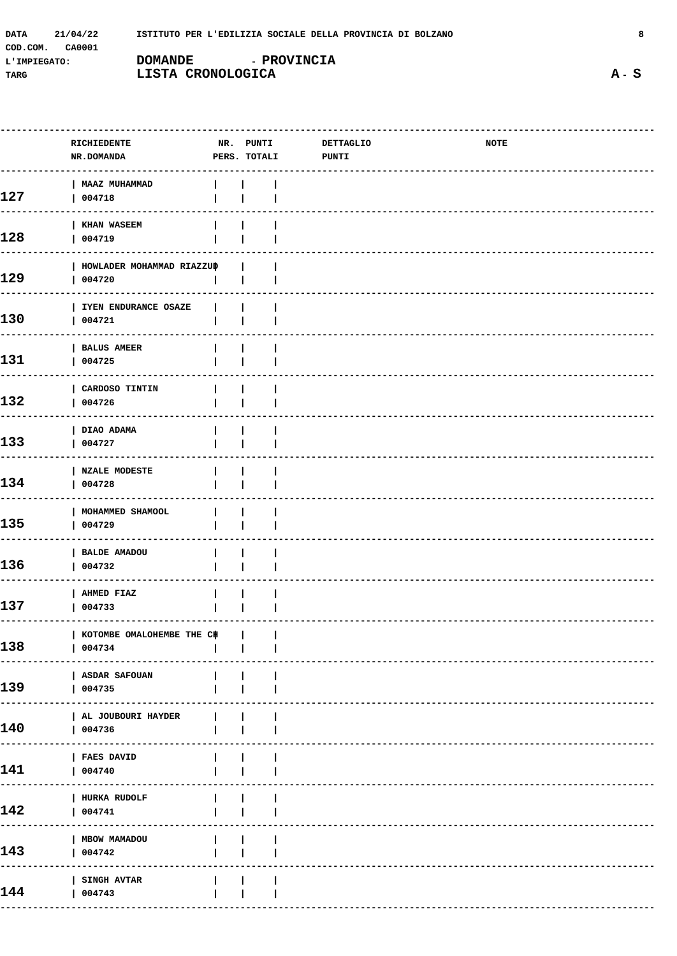| DATA         | 21/04/22 | ISTITUTO PER L'EDILIZIA SOCIALE DELLA PROVINCIA DI BOLZANO |                    |  |
|--------------|----------|------------------------------------------------------------|--------------------|--|
| COD.COM.     | CA0001   |                                                            |                    |  |
| L'IMPIEGATO: |          | DOMANDE                                                    | <b>- PROVINCIA</b> |  |
| TARG         |          | LISTA CRONOLOGICA                                          |                    |  |

|     | RICHIEDENTE<br>NR.DOMANDA               | NR. PUNTI<br>PERS. TOTALI | DETTAGLIO<br>PUNTI | <b>NOTE</b> |  |
|-----|-----------------------------------------|---------------------------|--------------------|-------------|--|
| 127 | <b>MAAZ MUHAMMAD</b><br>004718          |                           |                    |             |  |
| 128 | <b>KHAN WASEEM</b><br>004719            |                           |                    |             |  |
| 129 | HOWLADER MOHAMMAD RIAZZUP<br>004720     |                           |                    |             |  |
| 130 | IYEN ENDURANCE OSAZE<br>004721          |                           |                    |             |  |
| 131 | <b>BALUS AMEER</b><br>004725            |                           |                    |             |  |
| 132 | CARDOSO TINTIN<br>004726                |                           |                    |             |  |
| 133 | DIAO ADAMA<br>004727                    |                           |                    |             |  |
| 134 | <b>NZALE MODESTE</b><br>004728          |                           |                    |             |  |
| 135 | MOHAMMED SHAMOOL<br>004729              |                           |                    |             |  |
| 136 | <b>BALDE AMADOU</b><br>004732           |                           |                    |             |  |
| 137 | AHMED FIAZ<br>004733                    |                           |                    |             |  |
| 138 | KOTOMBE OMALOHEMBE THE C#  <br>  004734 |                           |                    |             |  |
| 139 | ASDAR SAFOUAN<br>004735                 |                           |                    |             |  |
| 140 | AL JOUBOURI HAYDER<br>004736            |                           |                    |             |  |
| 141 | <b>FAES DAVID</b><br>004740             |                           |                    |             |  |
| 142 | HURKA RUDOLF<br>004741                  |                           |                    |             |  |
| 143 | MBOW MAMADOU<br>004742                  |                           |                    |             |  |
| 144 | SINGH AVTAR<br>004743                   |                           |                    |             |  |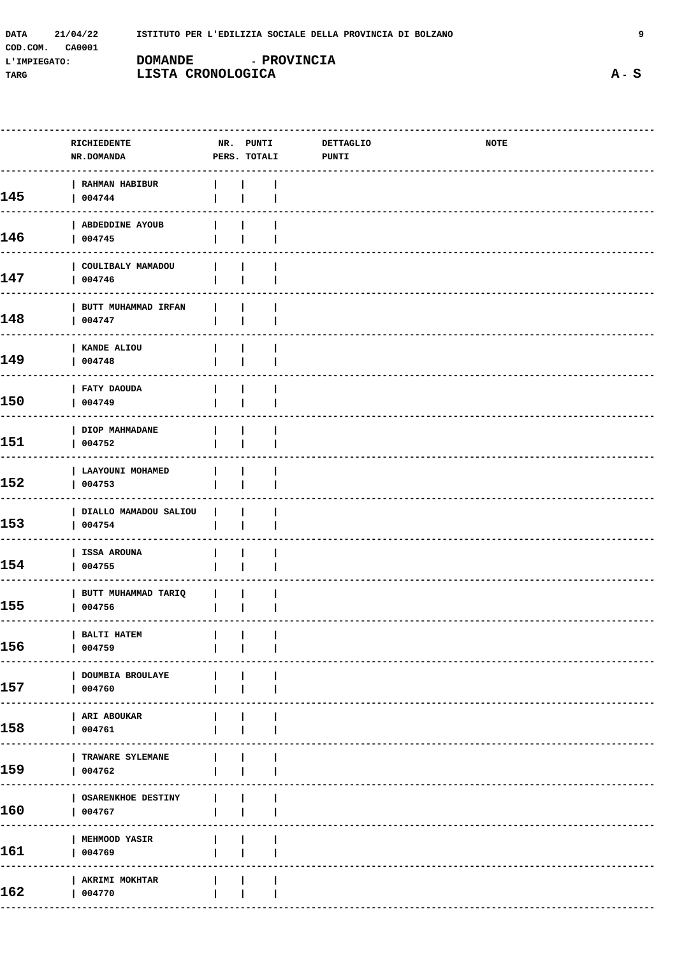| <b>DATA</b>  | 21/04/22 | ISTITUTO PER L'EDILIZIA SOCIALE DELLA PROVINCIA DI BOLZANO |                    |  |
|--------------|----------|------------------------------------------------------------|--------------------|--|
| COD.COM.     | CA0001   |                                                            |                    |  |
| L'IMPIEGATO: |          | <b>DOMANDE</b>                                             | <b>- PROVINCIA</b> |  |
| TARG         |          | LISTA CRONOLOGICA                                          |                    |  |

|            | RICHIEDENTE<br><b>NR.DOMANDA</b>    |                                       | NR. PUNTI<br>PERS. TOTALI | <b>DETTAGLIO</b><br><b>PUNTI</b> | <b>NOTE</b> |  |
|------------|-------------------------------------|---------------------------------------|---------------------------|----------------------------------|-------------|--|
| 145        | RAHMAN HABIBUR<br>004744            |                                       |                           |                                  |             |  |
| 146        | ABDEDDINE AYOUB<br>004745           |                                       |                           |                                  |             |  |
| 147<br>--- | COULIBALY MAMADOU<br>004746         |                                       |                           |                                  |             |  |
| 148<br>--- | BUTT MUHAMMAD IRFAN<br>004747       |                                       |                           |                                  |             |  |
| 149<br>--- | KANDE ALIOU<br>004748               |                                       |                           |                                  |             |  |
| 150<br>--- | FATY DAOUDA<br>004749               |                                       |                           |                                  |             |  |
| 151        | DIOP MAHMADANE<br>004752            |                                       |                           |                                  |             |  |
| 152<br>--- | LAAYOUNI MOHAMED<br>004753          |                                       |                           |                                  |             |  |
| 153<br>--- | DIALLO MAMADOU SALIOU<br>004754     |                                       |                           |                                  |             |  |
| 154<br>--- | ISSA AROUNA<br>004755               |                                       |                           |                                  |             |  |
| 155        | BUTT MUHAMMAD TARIQ<br>004756       |                                       |                           |                                  |             |  |
| 156        | BALTI HATEM<br>004759               | <b>The Contract Contract Contract</b> | $\sim$ 1.                 |                                  |             |  |
| 157        | <b>DOUMBIA BROULAYE</b><br>004760   |                                       |                           |                                  |             |  |
| 158        | ARI ABOUKAR<br>004761               |                                       |                           |                                  |             |  |
| 159        | <b>TRAWARE SYLEMANE</b><br>004762   |                                       |                           |                                  |             |  |
| 160        | <b>OSARENKHOE DESTINY</b><br>004767 |                                       |                           |                                  |             |  |
| 161        | <b>MEHMOOD YASIR</b><br>004769      |                                       |                           |                                  |             |  |
| 162        | AKRIMI MOKHTAR<br>004770            |                                       |                           |                                  |             |  |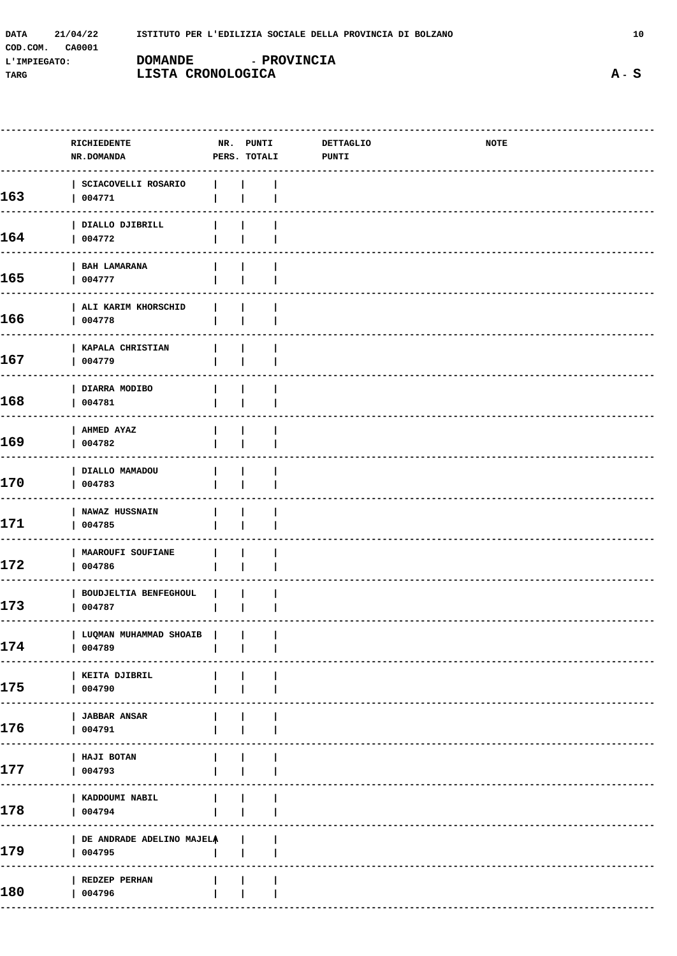| DATA         | 21/04/22 | ISTITUTO PER L'EDILIZIA SOCIALE DELLA PROVINCIA DI BOLZANO |             |  |
|--------------|----------|------------------------------------------------------------|-------------|--|
| COD.COM.     | CA0001   |                                                            |             |  |
| L'IMPIEGATO: |          | <b>DOMANDE</b>                                             | - PROVINCIA |  |
| TARG         |          | LISTA CRONOLOGICA                                          |             |  |

| RICHIEDENTE<br><b>NR.DOMANDA</b>          |              |                        | <b>DETTAGLIO</b><br><b>PUNTI</b>                                            | NOTE                |  |
|-------------------------------------------|--------------|------------------------|-----------------------------------------------------------------------------|---------------------|--|
| SCIACOVELLI ROSARIO<br>004771             |              |                        |                                                                             |                     |  |
| DIALLO DJIBRILL<br>004772                 |              |                        |                                                                             |                     |  |
| <b>BAH LAMARANA</b><br>004777             |              |                        |                                                                             |                     |  |
| ALI KARIM KHORSCHID<br>004778             |              |                        |                                                                             |                     |  |
| KAPALA CHRISTIAN<br>004779                |              |                        |                                                                             |                     |  |
| DIARRA MODIBO<br>004781                   |              |                        |                                                                             |                     |  |
| AHMED AYAZ<br>004782                      |              |                        |                                                                             |                     |  |
| DIALLO MAMADOU<br>004783                  |              |                        |                                                                             |                     |  |
| <b>NAWAZ HUSSNAIN</b><br>004785           |              |                        |                                                                             |                     |  |
| MAAROUFI SOUFIANE<br>004786               |              |                        |                                                                             |                     |  |
| <b>BOUDJELTIA BENFEGHOUL</b><br>004787    |              |                        |                                                                             |                     |  |
| 004789                                    |              |                        |                                                                             |                     |  |
| KEITA DJIBRIL<br>004790                   |              |                        |                                                                             |                     |  |
| <b>JABBAR ANSAR</b><br>004791             | $\mathbf{L}$ |                        |                                                                             |                     |  |
| HAJI BOTAN<br>004793                      |              |                        |                                                                             |                     |  |
| KADDOUMI NABIL<br>004794<br>------------- |              |                        |                                                                             |                     |  |
| 004795                                    |              |                        |                                                                             |                     |  |
| REDZEP PERHAN<br>004796                   |              |                        |                                                                             |                     |  |
|                                           | -----        | LUQMAN MUHAMMAD SHOAIB | NR. PUNTI<br><b>Contract Contract Contract</b><br>DE ANDRADE ADELINO MAJELA | PERS. TOTALI<br>- 1 |  |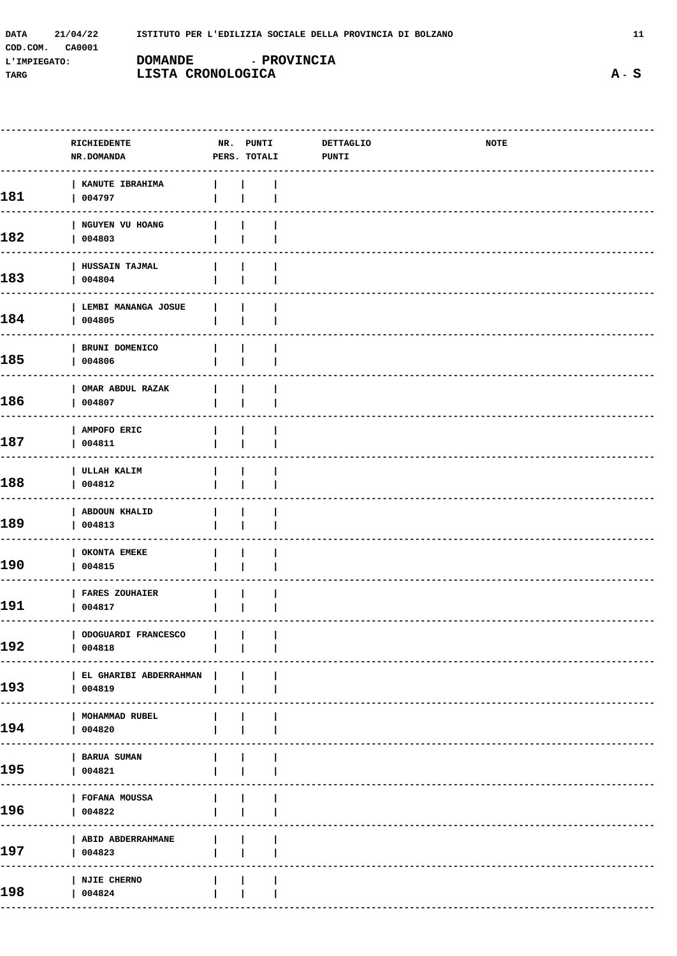| 21/04/22<br><b>DATA</b> | ISTITUTO PER L'EDILIZIA SOCIALE DELLA PROVINCIA DI BOLZANO |
|-------------------------|------------------------------------------------------------|
| COD.COM.<br>CA0001      |                                                            |
| L'IMPIEGATO:            | <b>- PROVINCIA</b><br><b>DOMANDE</b>                       |
| TARG                    | LISTA CRONOLOGICA                                          |

|     | RICHIEDENTE<br>NR.DOMANDA          | NR. PUNTI<br>PERS. TOTALI | <b>DETTAGLIO</b><br>PUNTI | NOTE |
|-----|------------------------------------|---------------------------|---------------------------|------|
| 181 | KANUTE IBRAHIMA<br>004797          |                           |                           |      |
| 182 | NGUYEN VU HOANG<br>004803          |                           |                           |      |
| 183 | HUSSAIN TAJMAL<br>004804           |                           |                           |      |
| 184 | LEMBI MANANGA JOSUE<br>004805      |                           |                           |      |
| 185 | BRUNI DOMENICO<br>004806           |                           |                           |      |
| 186 | OMAR ABDUL RAZAK<br>004807         |                           |                           |      |
| 187 | AMPOFO ERIC<br>004811              |                           |                           |      |
| 188 | ULLAH KALIM<br>004812              |                           |                           |      |
| 189 | <b>ABDOUN KHALID</b><br>004813     |                           |                           |      |
| 190 | OKONTA EMEKE<br>004815             |                           |                           |      |
| 191 | <b>FARES ZOUHAIER</b><br>004817    |                           |                           |      |
| 192 | ODOGUARDI FRANCESCO<br>004818      |                           |                           |      |
| 193 | EL GHARIBI ABDERRAHMAN  <br>004819 |                           |                           |      |
| 194 | MOHAMMAD RUBEL<br>004820           |                           |                           |      |
| 195 | <b>BARUA SUMAN</b><br>004821       |                           |                           |      |
| 196 | FOFANA MOUSSA<br>004822            |                           |                           |      |
| 197 | ABID ABDERRAHMANE<br>  004823      |                           |                           |      |
| 198 | <b>NJIE CHERNO</b><br>  004824     |                           |                           |      |
|     |                                    |                           |                           |      |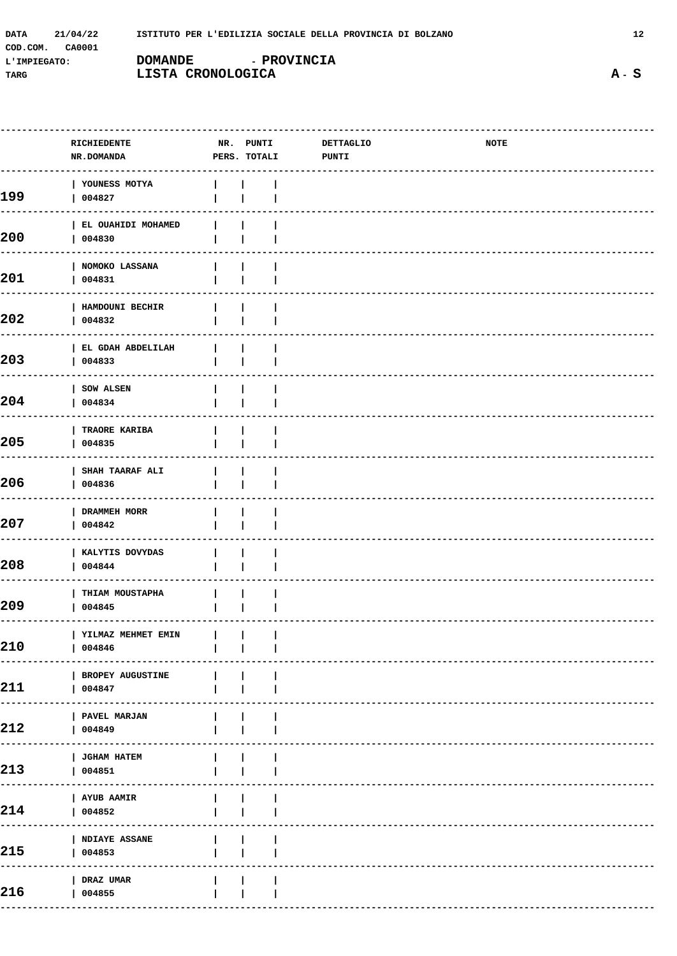| 21/04/22<br>DATA   | ISTITUTO PER L'EDILIZIA SOCIALE DELLA PROVINCIA DI BOLZANO |
|--------------------|------------------------------------------------------------|
| COD.COM.<br>CA0001 |                                                            |
| L'IMPIEGATO:       | <b>- PROVINCIA</b><br><b>DOMANDE</b>                       |
| TARG               | LISTA CRONOLOGICA                                          |

 $\overline{a}$ 

|     | RICHIEDENTE<br>NR.DOMANDA            | NR. PUNTI<br>PERS. TOTALI | DETTAGLIO<br><b>PUNTI</b> | <b>NOTE</b> |  |
|-----|--------------------------------------|---------------------------|---------------------------|-------------|--|
| 199 | YOUNESS MOTYA<br>004827              |                           |                           |             |  |
| 200 | EL OUAHIDI MOHAMED<br>004830         |                           |                           |             |  |
| 201 | NOMOKO LASSANA<br>004831             |                           |                           |             |  |
| 202 | HAMDOUNI BECHIR<br>004832            |                           |                           |             |  |
| 203 | EL GDAH ABDELILAH<br>004833          |                           |                           |             |  |
| 204 | SOW ALSEN<br>004834                  |                           |                           |             |  |
| 205 | TRAORE KARIBA<br>004835              |                           |                           |             |  |
| 206 | SHAH TAARAF ALI<br>004836            |                           |                           |             |  |
| 207 | DRAMMEH MORR<br>004842               |                           |                           |             |  |
| 208 | KALYTIS DOVYDAS<br>004844            |                           |                           |             |  |
| 209 | THIAM MOUSTAPHA<br>004845            |                           |                           |             |  |
| 210 | YILMAZ MEHMET EMIN        <br>004846 |                           |                           |             |  |
| 211 | BROPEY AUGUSTINE<br>004847           |                           |                           |             |  |
| 212 | PAVEL MARJAN<br>004849               |                           |                           |             |  |
| 213 | JGHAM HATEM<br>004851                |                           |                           |             |  |
| 214 | <b>AYUB AAMIR</b><br>004852          |                           |                           |             |  |
| 215 | <b>NDIAYE ASSANE</b><br>004853       |                           |                           |             |  |
| 216 | DRAZ UMAR<br>004855                  |                           |                           |             |  |
|     |                                      |                           |                           |             |  |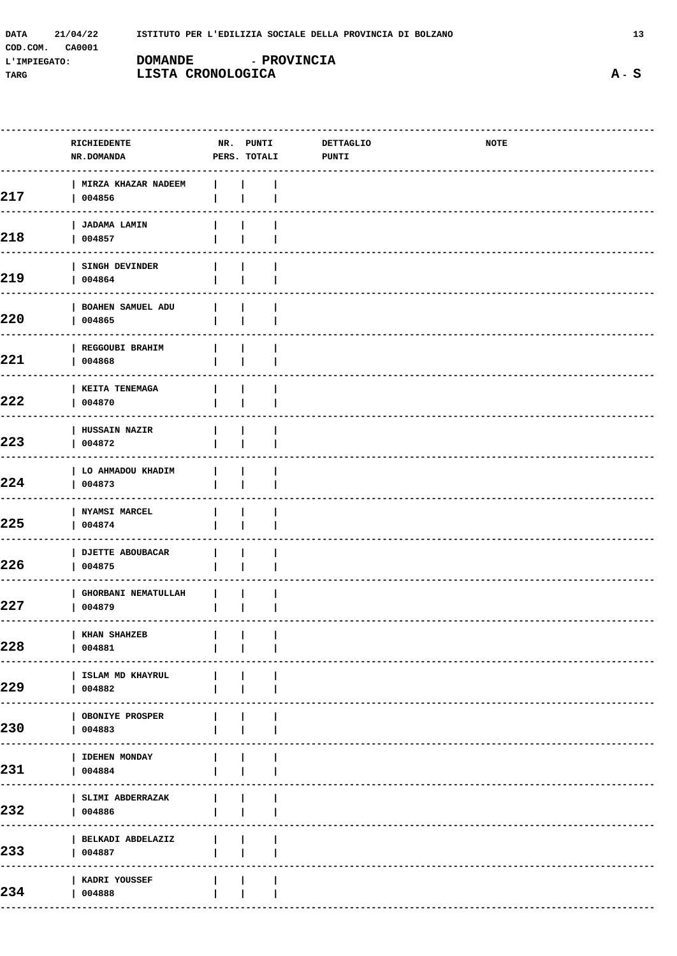| <b>DATA</b>  | 21/04/22 |                   | ISTITUTO PER L'EDILIZIA SOCIALE DELLA PROVINCIA DI BOLZANO |  |
|--------------|----------|-------------------|------------------------------------------------------------|--|
| COD.COM.     | CA0001   |                   |                                                            |  |
| L'IMPIEGATO: |          | <b>DOMANDE</b>    | <b>- PROVINCIA</b>                                         |  |
| TARG         |          | LISTA CRONOLOGICA |                                                            |  |

|     | RICHIEDENTE<br>NR.DOMANDA                                        | NR. PUNTI<br>PERS. TOTALI | <b>DETTAGLIO</b><br><b>PUNTI</b> | NOTE |  |
|-----|------------------------------------------------------------------|---------------------------|----------------------------------|------|--|
|     | MIRZA KHAZAR NADEEM                                              |                           |                                  |      |  |
| 217 | 004856                                                           |                           |                                  |      |  |
| 218 | <b>JADAMA LAMIN</b><br>004857                                    |                           |                                  |      |  |
| 219 | SINGH DEVINDER<br>004864                                         |                           |                                  |      |  |
| 220 | <b>BOAHEN SAMUEL ADU</b><br>004865                               |                           |                                  |      |  |
| 221 | <b>REGGOUBI BRAHIM</b><br>004868                                 |                           |                                  |      |  |
| 222 | <b>KEITA TENEMAGA</b><br>004870                                  |                           |                                  |      |  |
| 223 | <b>HUSSAIN NAZIR</b><br>004872                                   |                           |                                  |      |  |
| 224 | LO AHMADOU KHADIM<br>004873                                      |                           |                                  |      |  |
| 225 | <b>NYAMSI MARCEL</b><br>004874                                   |                           |                                  |      |  |
| 226 | <b>DJETTE ABOUBACAR</b><br>004875                                |                           |                                  |      |  |
| 227 | <b>GHORBANI NEMATULLAH</b><br>004879                             |                           |                                  |      |  |
| 228 | KHAN SHAHZEB<br>$\mathbf{1}$ $\mathbf{1}$ $\mathbf{1}$<br>004881 |                           |                                  |      |  |
| 229 | ISLAM MD KHAYRUL<br>004882                                       |                           |                                  |      |  |
| 230 | OBONIYE PROSPER<br>004883                                        |                           |                                  |      |  |
| 231 | <b>IDEHEN MONDAY</b><br>004884                                   |                           |                                  |      |  |
| 232 | SLIMI ABDERRAZAK<br>004886                                       |                           |                                  |      |  |
| 233 | BELKADI ABDELAZIZ<br>004887                                      |                           |                                  |      |  |
| 234 | KADRI YOUSSEF<br>004888                                          |                           |                                  |      |  |
|     |                                                                  |                           |                                  |      |  |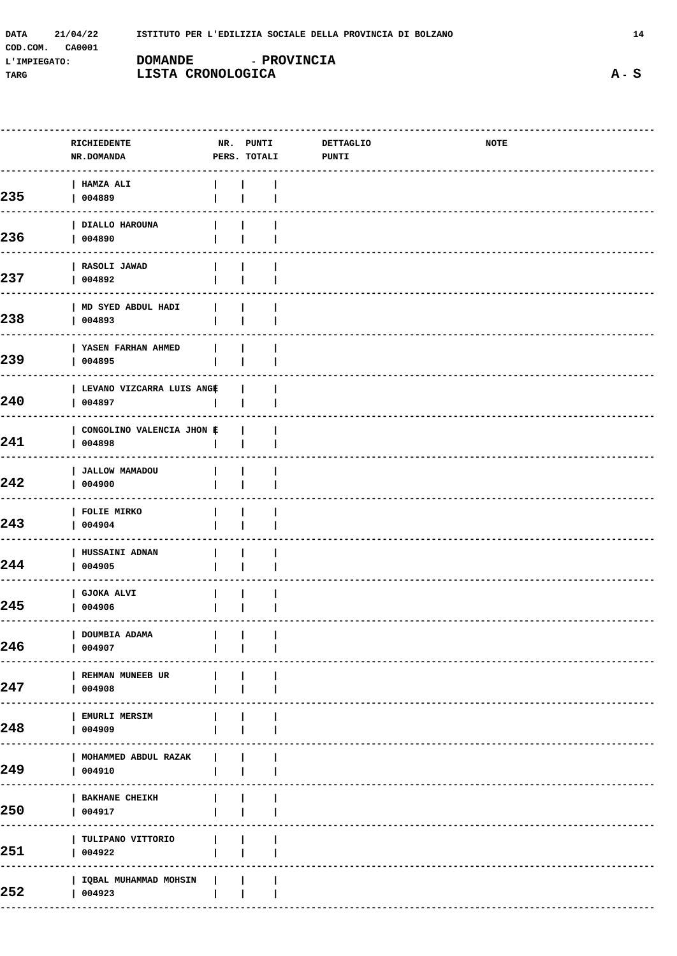| 21/04/22<br><b>DATA</b> | ISTITUTO PER L'EDILIZIA SOCIALE DELLA PROVINCIA DI BOLZANO |
|-------------------------|------------------------------------------------------------|
| COD.COM.<br>CA0001      |                                                            |
| L'IMPIEGATO:            | <b>- PROVINCIA</b><br><b>DOMANDE</b>                       |
| TARG                    | LISTA CRONOLOGICA                                          |

252

|     | RICHIEDENTE<br>NR.DOMANDA           | NR. PUNTI<br>PERS. TOTALI | <b>DETTAGLIO</b><br><b>PUNTI</b> | NOTE |
|-----|-------------------------------------|---------------------------|----------------------------------|------|
| 235 | <b>HAMZA ALI</b><br>004889          |                           |                                  |      |
| 236 | DIALLO HAROUNA<br>004890            |                           |                                  |      |
| 237 | RASOLI JAWAD<br>004892              |                           |                                  |      |
| 238 | MD SYED ABDUL HADI<br>004893        |                           |                                  |      |
| 239 | YASEN FARHAN AHMED<br>004895        |                           |                                  |      |
| 240 | LEVANO VIZCARRA LUIS ANGE<br>004897 |                           |                                  |      |
| 241 | CONGOLINO VALENCIA JHON #<br>004898 |                           |                                  |      |
| 242 | <b>JALLOW MAMADOU</b><br>004900     |                           |                                  |      |
| 243 | <b>FOLIE MIRKO</b><br>004904        |                           |                                  |      |
| 244 | HUSSAINI ADNAN<br>004905            |                           |                                  |      |
| 245 | <b>GJOKA ALVI</b><br>004906         |                           |                                  |      |
| 246 | DOUMBIA ADAMA<br>004907             |                           |                                  |      |
| 247 | REHMAN MUNEEB UR<br>004908          |                           |                                  |      |
| 248 | <b>EMURLI MERSIM</b><br>004909      |                           |                                  |      |
| 249 | MOHAMMED ABDUL RAZAK<br>004910      |                           |                                  |      |
| 250 | <b>BAKHANE CHEIKH</b><br>004917     |                           |                                  |      |
| 251 | TULIPANO VITTORIO<br>004922         |                           |                                  |      |
|     |                                     |                           |                                  |      |

 $\sim 1$ 

 $\overline{\phantom{a}}$ 

 $\overline{\phantom{a}}$ 

 $\mathbf{I}$  $\Box$ 

 $\mathbb{R}$ 

| IQBAL MUHAMMAD MOHSIN

 $| 004923$